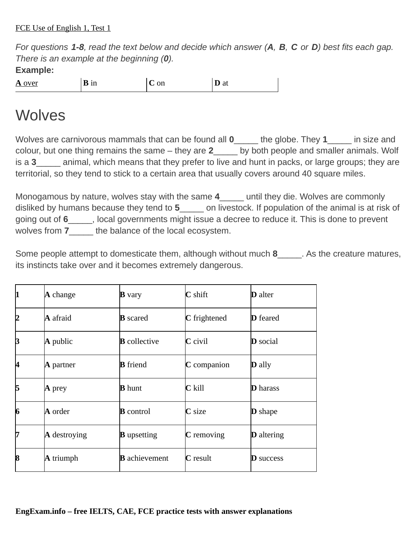*For questions 1-8, read the text below and decide which answer (А, В, C or D) best fits each gap. There is an example at the beginning (0).* **Example:**

**A** over **B** in **C** on **D** at

## **Wolves**

Wolves are carnivorous mammals that can be found all **0**\_\_\_\_\_ the globe. They **1**\_\_\_\_\_ in size and colour, but one thing remains the same – they are **2**\_\_\_\_\_ by both people and smaller animals. Wolf is a **3** animal, which means that they prefer to live and hunt in packs, or large groups; they are territorial, so they tend to stick to a certain area that usually covers around 40 square miles.

Monogamous by nature, wolves stay with the same **4**\_\_\_\_\_ until they die. Wolves are commonly disliked by humans because they tend to **5**\_\_\_\_\_ on livestock. If population of the animal is at risk of going out of **6**\_\_\_\_\_, local governments might issue a decree to reduce it. This is done to prevent wolves from **7**\_\_\_\_\_ the balance of the local ecosystem.

Some people attempt to domesticate them, although without much 8 and As the creature matures, its instincts take over and it becomes extremely dangerous.

| 1  | $\bf{A}$ change     | $\bf{B}$ vary        | $\mathbf C$ shift | <b>D</b> alter    |
|----|---------------------|----------------------|-------------------|-------------------|
| 12 | <b>A</b> afraid     | <b>B</b> scared      | C frightened      | <b>D</b> feared   |
| B  | $\bf{A}$ public     | <b>B</b> collective  | $C$ civil         | <b>D</b> social   |
| 14 | <b>A</b> partner    | <b>B</b> friend      | $C$ companion     | <b>D</b> ally     |
| 15 | $\bf A$ prey        | <b>B</b> hunt        | $C$ kill          | <b>D</b> harass   |
| 6  | <b>A</b> order      | <b>B</b> control     | $C$ size          | <b>D</b> shape    |
| 17 | <b>A</b> destroying | <b>B</b> upsetting   | $C$ removing      | <b>D</b> altering |
| 18 | <b>A</b> triumph    | <b>B</b> achievement | <b>C</b> result   | <b>D</b> success  |